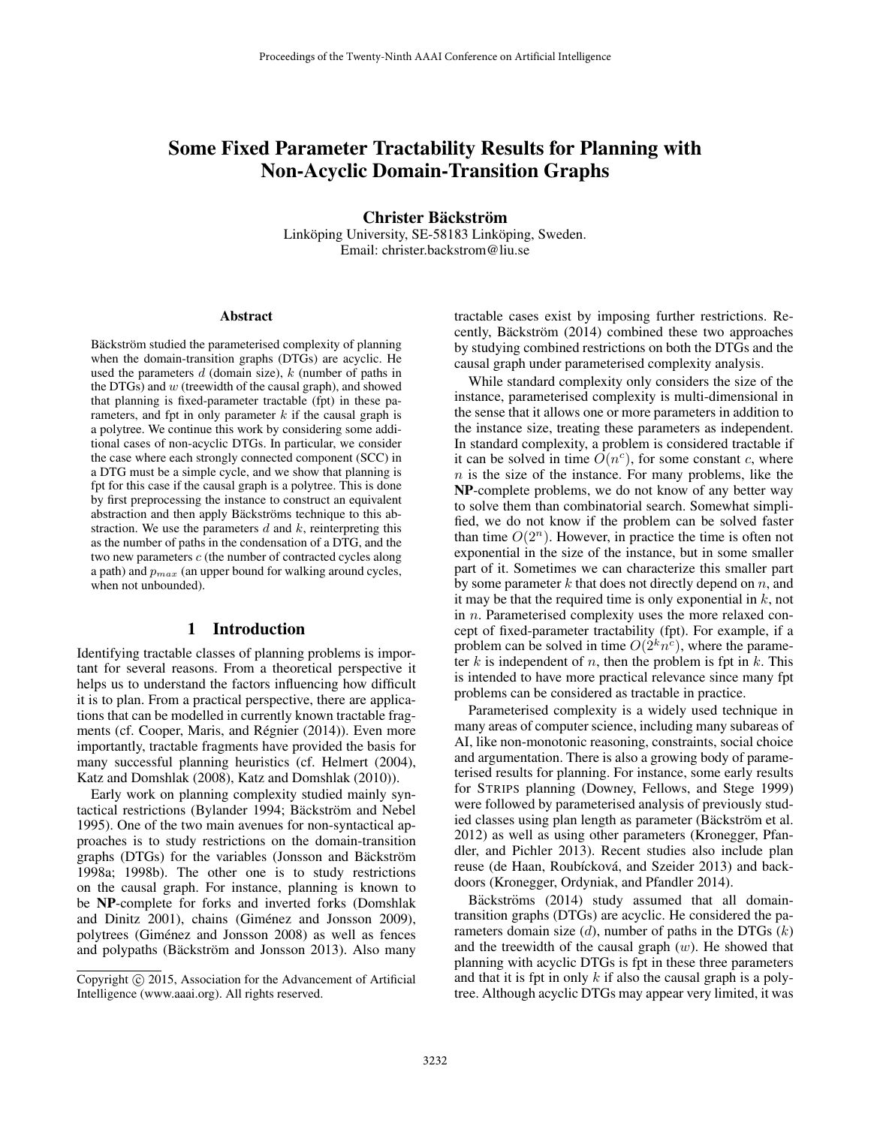# Some Fixed Parameter Tractability Results for Planning with Non-Acyclic Domain-Transition Graphs

Christer Bäckström Linköping University, SE-58183 Linköping, Sweden. Email: christer.backstrom@liu.se

#### Abstract

Bäckström studied the parameterised complexity of planning when the domain-transition graphs (DTGs) are acyclic. He used the parameters  $d$  (domain size),  $k$  (number of paths in the DTGs) and  $w$  (treewidth of the causal graph), and showed that planning is fixed-parameter tractable (fpt) in these parameters, and fpt in only parameter  $k$  if the causal graph is a polytree. We continue this work by considering some additional cases of non-acyclic DTGs. In particular, we consider the case where each strongly connected component (SCC) in a DTG must be a simple cycle, and we show that planning is fpt for this case if the causal graph is a polytree. This is done by first preprocessing the instance to construct an equivalent abstraction and then apply Bäckströms technique to this abstraction. We use the parameters  $d$  and  $k$ , reinterpreting this as the number of paths in the condensation of a DTG, and the two new parameters  $c$  (the number of contracted cycles along a path) and  $p_{max}$  (an upper bound for walking around cycles, when not unbounded).

### 1 Introduction

Identifying tractable classes of planning problems is important for several reasons. From a theoretical perspective it helps us to understand the factors influencing how difficult it is to plan. From a practical perspective, there are applications that can be modelled in currently known tractable fragments (cf. Cooper, Maris, and Régnier (2014)). Even more importantly, tractable fragments have provided the basis for many successful planning heuristics (cf. Helmert (2004), Katz and Domshlak (2008), Katz and Domshlak (2010)).

Early work on planning complexity studied mainly syntactical restrictions (Bylander 1994; Bäckström and Nebel 1995). One of the two main avenues for non-syntactical approaches is to study restrictions on the domain-transition graphs (DTGs) for the variables (Jonsson and Bäckström 1998a; 1998b). The other one is to study restrictions on the causal graph. For instance, planning is known to be NP-complete for forks and inverted forks (Domshlak and Dinitz 2001), chains (Giménez and Jonsson 2009), polytrees (Giménez and Jonsson 2008) as well as fences and polypaths (Bäckström and Jonsson 2013). Also many tractable cases exist by imposing further restrictions. Recently, Bäckström  $(2014)$  combined these two approaches by studying combined restrictions on both the DTGs and the causal graph under parameterised complexity analysis.

While standard complexity only considers the size of the instance, parameterised complexity is multi-dimensional in the sense that it allows one or more parameters in addition to the instance size, treating these parameters as independent. In standard complexity, a problem is considered tractable if it can be solved in time  $\hat{O}(n^c)$ , for some constant c, where  $n$  is the size of the instance. For many problems, like the NP-complete problems, we do not know of any better way to solve them than combinatorial search. Somewhat simplified, we do not know if the problem can be solved faster than time  $O(2^n)$ . However, in practice the time is often not exponential in the size of the instance, but in some smaller part of it. Sometimes we can characterize this smaller part by some parameter  $k$  that does not directly depend on  $n$ , and it may be that the required time is only exponential in  $k$ , not in n. Parameterised complexity uses the more relaxed concept of fixed-parameter tractability (fpt). For example, if a problem can be solved in time  $O(2^k n^c)$ , where the parameter  $k$  is independent of  $n$ , then the problem is fpt in  $k$ . This is intended to have more practical relevance since many fpt problems can be considered as tractable in practice.

Parameterised complexity is a widely used technique in many areas of computer science, including many subareas of AI, like non-monotonic reasoning, constraints, social choice and argumentation. There is also a growing body of parameterised results for planning. For instance, some early results for STRIPS planning (Downey, Fellows, and Stege 1999) were followed by parameterised analysis of previously studied classes using plan length as parameter (Bäckström et al. 2012) as well as using other parameters (Kronegger, Pfandler, and Pichler 2013). Recent studies also include plan reuse (de Haan, Roubícková, and Szeider 2013) and backdoors (Kronegger, Ordyniak, and Pfandler 2014).

Bäckströms (2014) study assumed that all domaintransition graphs (DTGs) are acyclic. He considered the parameters domain size  $(d)$ , number of paths in the DTGs  $(k)$ and the treewidth of the causal graph  $(w)$ . He showed that planning with acyclic DTGs is fpt in these three parameters and that it is fpt in only  $k$  if also the causal graph is a polytree. Although acyclic DTGs may appear very limited, it was

Copyright © 2015, Association for the Advancement of Artificial Intelligence (www.aaai.org). All rights reserved.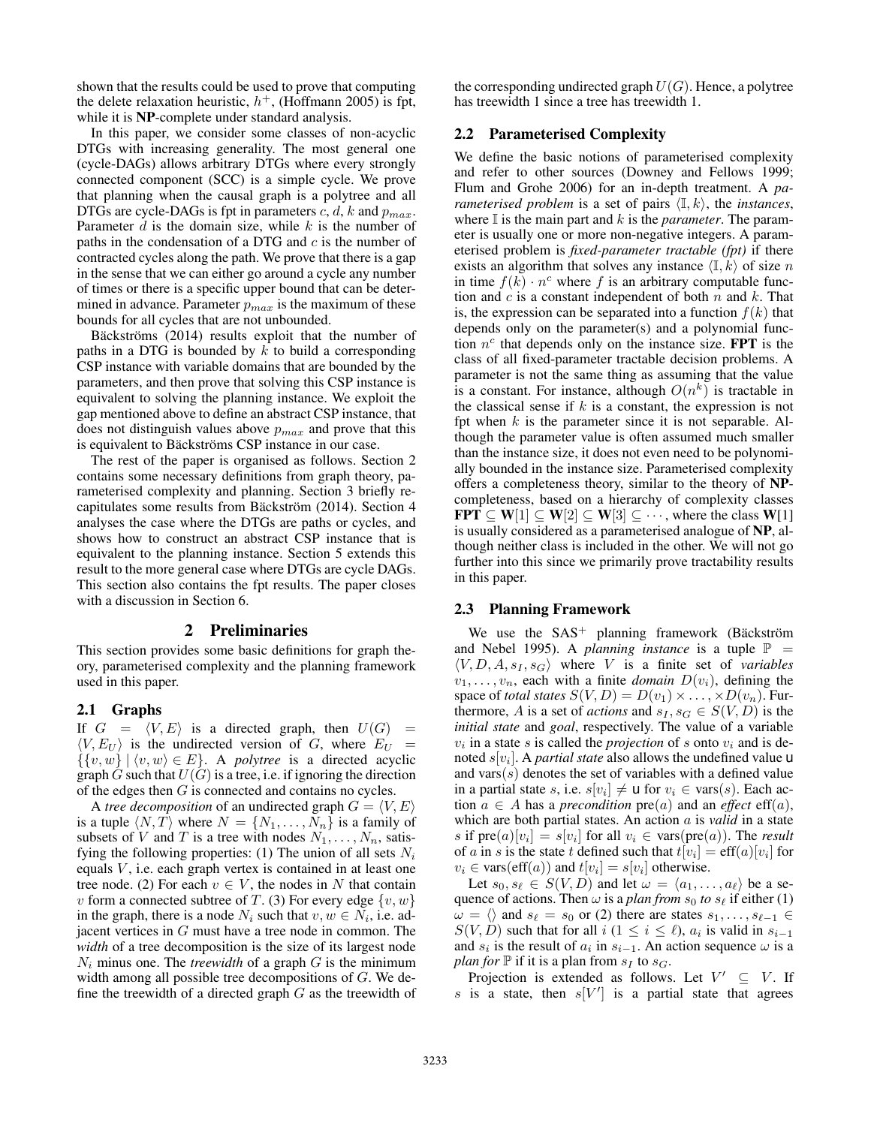shown that the results could be used to prove that computing the delete relaxation heuristic,  $h^+$ , (Hoffmann 2005) is fpt, while it is NP-complete under standard analysis.

In this paper, we consider some classes of non-acyclic DTGs with increasing generality. The most general one (cycle-DAGs) allows arbitrary DTGs where every strongly connected component (SCC) is a simple cycle. We prove that planning when the causal graph is a polytree and all DTGs are cycle-DAGs is fpt in parameters  $c, d, k$  and  $p_{max}$ . Parameter  $d$  is the domain size, while  $k$  is the number of paths in the condensation of a DTG and  $c$  is the number of contracted cycles along the path. We prove that there is a gap in the sense that we can either go around a cycle any number of times or there is a specific upper bound that can be determined in advance. Parameter  $p_{max}$  is the maximum of these bounds for all cycles that are not unbounded.

Bäckströms (2014) results exploit that the number of paths in a DTG is bounded by  $k$  to build a corresponding CSP instance with variable domains that are bounded by the parameters, and then prove that solving this CSP instance is equivalent to solving the planning instance. We exploit the gap mentioned above to define an abstract CSP instance, that does not distinguish values above  $p_{max}$  and prove that this is equivalent to Bäckströms CSP instance in our case.

The rest of the paper is organised as follows. Section 2 contains some necessary definitions from graph theory, parameterised complexity and planning. Section 3 briefly recapitulates some results from Bäckström (2014). Section 4 analyses the case where the DTGs are paths or cycles, and shows how to construct an abstract CSP instance that is equivalent to the planning instance. Section 5 extends this result to the more general case where DTGs are cycle DAGs. This section also contains the fpt results. The paper closes with a discussion in Section 6.

#### 2 Preliminaries

This section provides some basic definitions for graph theory, parameterised complexity and the planning framework used in this paper.

#### 2.1 Graphs

If  $G = \langle V, E \rangle$  is a directed graph, then  $U(G) =$  $\langle V, E_U \rangle$  is the undirected version of G, where  $E_U$  =  $\{ \{v, w\} \mid \langle v, w \rangle \in E \}.$  A *polytree* is a directed acyclic graph  $\tilde{G}$  such that  $U(\tilde{G})$  is a tree, i.e. if ignoring the direction of the edges then G is connected and contains no cycles.

A *tree decomposition* of an undirected graph  $G = \langle V, E \rangle$ is a tuple  $\langle N, T \rangle$  where  $N = \{N_1, \ldots, N_n\}$  is a family of subsets of V and T is a tree with nodes  $N_1, \ldots, N_n$ , satisfying the following properties: (1) The union of all sets  $N_i$ equals  $V$ , i.e. each graph vertex is contained in at least one tree node. (2) For each  $v \in V$ , the nodes in N that contain v form a connected subtree of T. (3) For every edge  $\{v, w\}$ in the graph, there is a node  $N_i$  such that  $v, w \in N_i$ , i.e. adjacent vertices in G must have a tree node in common. The *width* of a tree decomposition is the size of its largest node  $N_i$  minus one. The *treewidth* of a graph  $G$  is the minimum width among all possible tree decompositions of G. We define the treewidth of a directed graph  $G$  as the treewidth of

the corresponding undirected graph  $U(G)$ . Hence, a polytree has treewidth 1 since a tree has treewidth 1.

#### 2.2 Parameterised Complexity

We define the basic notions of parameterised complexity and refer to other sources (Downey and Fellows 1999; Flum and Grohe 2006) for an in-depth treatment. A *parameterised problem* is a set of pairs  $\langle I, k \rangle$ , the *instances*, where  $\mathbb I$  is the main part and  $k$  is the *parameter*. The parameter is usually one or more non-negative integers. A parameterised problem is *fixed-parameter tractable (fpt)* if there exists an algorithm that solves any instance  $\langle \mathbb{I}, k \rangle$  of size n in time  $f(k) \cdot n^c$  where f is an arbitrary computable function and  $c$  is a constant independent of both  $n$  and  $k$ . That is, the expression can be separated into a function  $f(k)$  that depends only on the parameter(s) and a polynomial function  $n^c$  that depends only on the instance size. **FPT** is the class of all fixed-parameter tractable decision problems. A parameter is not the same thing as assuming that the value is a constant. For instance, although  $O(n^k)$  is tractable in the classical sense if  $k$  is a constant, the expression is not fpt when  $k$  is the parameter since it is not separable. Although the parameter value is often assumed much smaller than the instance size, it does not even need to be polynomially bounded in the instance size. Parameterised complexity offers a completeness theory, similar to the theory of NPcompleteness, based on a hierarchy of complexity classes **FPT**  $\subseteq$  **W**[1]  $\subseteq$  **W**[2]  $\subseteq$  **W**[3]  $\subseteq$  ···, where the class **W**[1] is usually considered as a parameterised analogue of NP, although neither class is included in the other. We will not go further into this since we primarily prove tractability results in this paper.

#### 2.3 Planning Framework

We use the  $SAS^+$  planning framework (Bäckström and Nebel 1995). A *planning instance* is a tuple  $\mathbb{P}$  =  $\langle V, D, A, s_I, s_G \rangle$  where V is a finite set of *variables*  $v_1, \ldots, v_n$ , each with a finite *domain*  $D(v_i)$ , defining the space of *total states*  $S(V, D) = D(v_1) \times \ldots \times D(v_n)$ . Furthermore, A is a set of *actions* and  $s_I, s_G \in S(V, D)$  is the *initial state* and *goal*, respectively. The value of a variable  $v_i$  in a state s is called the *projection* of s onto  $v_i$  and is denoted  $s[v_i]$ . A *partial state* also allows the undefined value **u** and vars $(s)$  denotes the set of variables with a defined value in a partial state s, i.e.  $s[v_i] \neq \mathsf{u}$  for  $v_i \in \text{vars}(s)$ . Each action  $a \in A$  has a *precondition*  $pre(a)$  and an *effect*  $eff(a)$ , which are both partial states. An action a is *valid* in a state s if  $pre(a)[v_i] = s[v_i]$  for all  $v_i \in vars(pre(a))$ . The *result* of a in s is the state t defined such that  $t[v_i] = \text{eff}(a)[v_i]$  for  $v_i \in \text{vars}(\text{eff}(a))$  and  $t[v_i] = s[v_i]$  otherwise.

Let  $s_0, s_\ell \in S(V, D)$  and let  $\omega = \langle a_1, \ldots, a_\ell \rangle$  be a sequence of actions. Then  $\omega$  is a *plan from*  $s_0$  to  $s_\ell$  if either (1)  $\omega = \langle \rangle$  and  $s_{\ell} = s_0$  or (2) there are states  $s_1, \ldots, s_{\ell-1} \in$  $S(V, D)$  such that for all  $i (1 \leq i \leq \ell)$ ,  $a_i$  is valid in  $s_{i-1}$ and  $s_i$  is the result of  $a_i$  in  $s_{i-1}$ . An action sequence  $\omega$  is a *plan for*  $\mathbb P$  if it is a plan from  $s_I$  to  $s_G$ .

Projection is extended as follows. Let  $V' \subseteq V$ . If s is a state, then  $s[V']$  is a partial state that agrees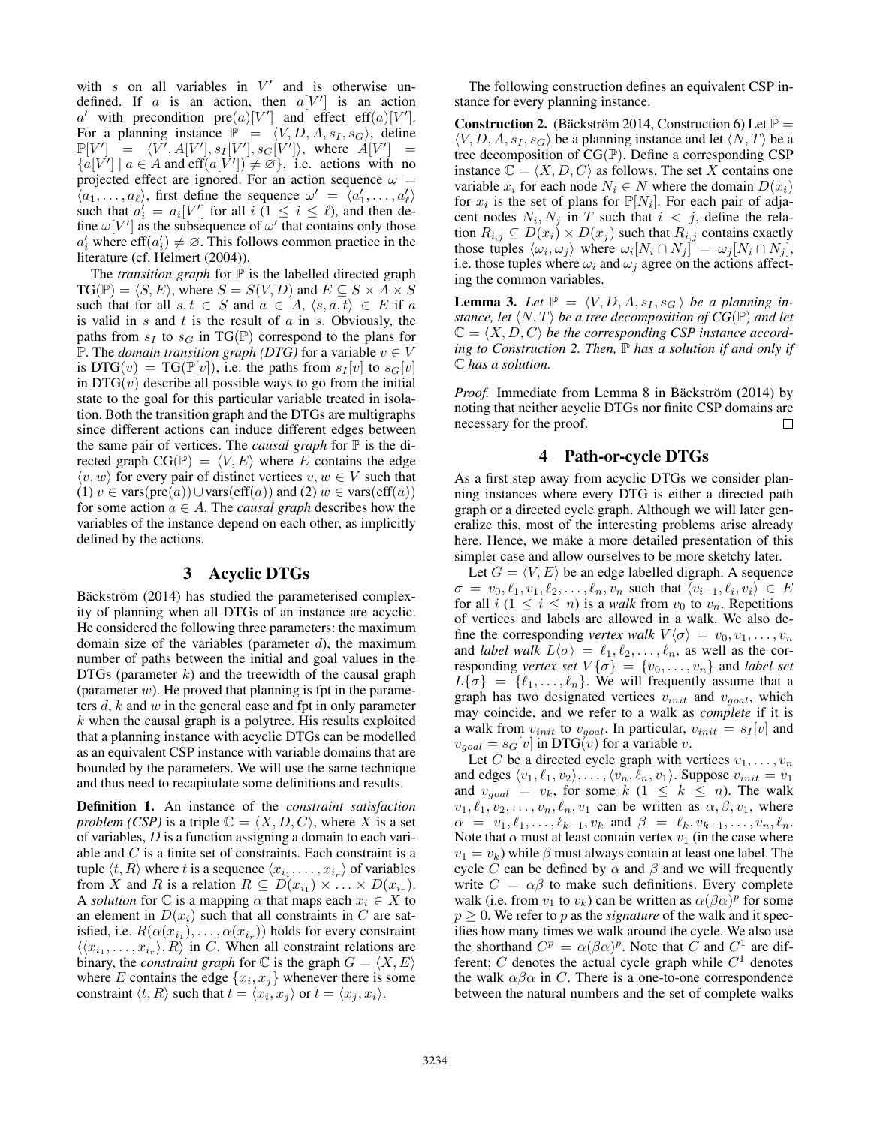with  $s$  on all variables in  $V'$  and is otherwise undefined. If a is an action, then  $a[V']$  is an action a' with precondition pre $(a)[V']$  and effect eff $(a)[V']$ . For a planning instance  $\mathbb{P} = \langle V, D, A, s_I, s_G \rangle$ , define  $\mathbb{P}[V'] = \langle V', A[V'], s_I[V'], s_G[V'] \rangle, \text{ where } A[V'] =$  $\{a[V'] \mid a \in A \text{ and } \text{eff}(a[V']) \neq \emptyset\}$ , i.e. actions with no projected effect are ignored. For an action sequence  $\omega =$  $\langle a_1, \ldots, a_\ell \rangle$ , first define the sequence  $\omega' = \langle a'_1, \ldots, a'_\ell \rangle$ such that  $a'_i = a_i[V']$  for all  $i$   $(1 \leq i \leq \ell)$ , and then define  $\omega[V']$  as the subsequence of  $\omega'$  that contains only those  $a'_i$  where  $\text{eff}(a'_i) \neq \emptyset$ . This follows common practice in the literature (cf. Helmert (2004)).

The *transition graph* for  $\mathbb P$  is the labelled directed graph  $TG(\mathbb{P}) = \langle S, E \rangle$ , where  $S = S(V, D)$  and  $E \subseteq S \times A \times S$ such that for all  $s, t \in S$  and  $a \in A$ ,  $\langle s, a, t \rangle \in E$  if a is valid in  $s$  and  $t$  is the result of  $a$  in  $s$ . Obviously, the paths from  $s_I$  to  $s_G$  in TG(P) correspond to the plans for P. The *domain transition graph (DTG)* for a variable  $v \in V$ is DTG(v) = TG( $\mathbb{P}[v]$ ), i.e. the paths from  $s_I[v]$  to  $s_G[v]$ in  $DTG(v)$  describe all possible ways to go from the initial state to the goal for this particular variable treated in isolation. Both the transition graph and the DTGs are multigraphs since different actions can induce different edges between the same pair of vertices. The *causal graph* for P is the directed graph  $CG(\mathbb{P}) = \langle V, E \rangle$  where E contains the edge  $\langle v, w \rangle$  for every pair of distinct vertices  $v, w \in V$  such that (1) v ∈ vars(pre(a))∪vars(eff(a)) and (2)  $w \in \text{vars}(\text{eff}(a))$ for some action  $a \in A$ . The *causal graph* describes how the variables of the instance depend on each other, as implicitly defined by the actions.

### 3 Acyclic DTGs

Bäckström (2014) has studied the parameterised complexity of planning when all DTGs of an instance are acyclic. He considered the following three parameters: the maximum domain size of the variables (parameter  $d$ ), the maximum number of paths between the initial and goal values in the DTGs (parameter  $k$ ) and the treewidth of the causal graph (parameter  $w$ ). He proved that planning is fpt in the parameters  $d$ ,  $k$  and  $w$  in the general case and fpt in only parameter  $k$  when the causal graph is a polytree. His results exploited that a planning instance with acyclic DTGs can be modelled as an equivalent CSP instance with variable domains that are bounded by the parameters. We will use the same technique and thus need to recapitulate some definitions and results.

Definition 1. An instance of the *constraint satisfaction problem (CSP)* is a triple  $\mathbb{C} = \langle X, D, C \rangle$ , where X is a set of variables,  $D$  is a function assigning a domain to each variable and  $C$  is a finite set of constraints. Each constraint is a tuple  $\langle t, R \rangle$  where t is a sequence  $\langle x_{i_1}, \ldots, x_{i_r} \rangle$  of variables from X and R is a relation  $R \subseteq D(x_{i_1}) \times \ldots \times D(x_{i_r}).$ A *solution* for  $\mathbb C$  is a mapping  $\alpha$  that maps each  $x_i \in X$  to an element in  $D(x_i)$  such that all constraints in C are satisfied, i.e.  $R(\alpha(x_{i_1}), \ldots, \alpha(x_{i_r}))$  holds for every constraint  $\langle \langle x_{i_1}, \ldots, x_{i_r} \rangle, R \rangle$  in C. When all constraint relations are binary, the *constraint graph* for  $\mathbb C$  is the graph  $G = \langle X, E \rangle$ where E contains the edge  $\{x_i, x_j\}$  whenever there is some constraint  $\langle t, R \rangle$  such that  $t = \langle x_i, x_j \rangle$  or  $t = \langle x_j, x_i \rangle$ .

The following construction defines an equivalent CSP instance for every planning instance.

**Construction 2.** (Bäckström 2014, Construction 6) Let  $\mathbb{P} =$  $\langle V, D, A, s_I, s_G \rangle$  be a planning instance and let  $\langle N, T \rangle$  be a tree decomposition of  $CG(\mathbb{P})$ . Define a corresponding CSP instance  $\mathbb{C} = \langle X, D, C \rangle$  as follows. The set X contains one variable  $x_i$  for each node  $N_i \in N$  where the domain  $D(x_i)$ for  $x_i$  is the set of plans for  $\mathbb{P}[N_i]$ . For each pair of adjacent nodes  $N_i, N_j$  in T such that  $i < j$ , define the relation  $R_{i,j} \subseteq D(x_i) \times D(x_j)$  such that  $R_{i,j}$  contains exactly those tuples  $\langle \omega_i, \omega_j \rangle$  where  $\omega_i [N_i \cap N_j] = \omega_j [N_i \cap N_j],$ i.e. those tuples where  $\omega_i$  and  $\omega_j$  agree on the actions affecting the common variables.

**Lemma 3.** Let  $\mathbb{P} = \langle V, D, A, s_I, s_G \rangle$  be a planning in*stance, let*  $\langle N, T \rangle$  *be a tree decomposition of CG*(P) *and let*  $\mathbb{C} = \langle X, D, C \rangle$  *be the corresponding CSP instance according to Construction 2. Then,*  $\mathbb P$  *has a solution if and only if* C *has a solution.*

*Proof.* Immediate from Lemma 8 in Bäckström (2014) by noting that neither acyclic DTGs nor finite CSP domains are necessary for the proof. П

#### 4 Path-or-cycle DTGs

As a first step away from acyclic DTGs we consider planning instances where every DTG is either a directed path graph or a directed cycle graph. Although we will later generalize this, most of the interesting problems arise already here. Hence, we make a more detailed presentation of this simpler case and allow ourselves to be more sketchy later.

Let  $G = \langle V, E \rangle$  be an edge labelled digraph. A sequence  $\sigma = v_0, \ell_1, v_1, \ell_2, \ldots, \ell_n, v_n$  such that  $\langle v_{i-1}, \ell_i, v_i \rangle \in E$ for all  $i$  ( $1 \leq i \leq n$ ) is a *walk* from  $v_0$  to  $v_n$ . Repetitions of vertices and labels are allowed in a walk. We also define the corresponding *vertex walk*  $V\langle \sigma \rangle = v_0, v_1, \dots, v_n$ and *label walk*  $L\langle \sigma \rangle = \ell_1, \ell_2, \ldots, \ell_n$ , as well as the corresponding *vertex set*  $V\{\sigma\} = \{v_0, \ldots, v_n\}$  and *label set*  $L\{\sigma\} = \{\ell_1, \ldots, \ell_n\}.$  We will frequently assume that a graph has two designated vertices  $v_{init}$  and  $v_{goal}$ , which may coincide, and we refer to a walk as *complete* if it is a walk from  $v_{init}$  to  $v_{goal}$ . In particular,  $v_{init} = s_I[v]$  and  $v_{goal} = s_G[v]$  in DTG(*v*) for a variable *v*.

Let C be a directed cycle graph with vertices  $v_1, \ldots, v_n$ and edges  $\langle v_1, \ell_1, v_2 \rangle, \ldots, \langle v_n, \ell_n, v_1 \rangle$ . Suppose  $v_{init} = v_1$ and  $v_{goal} = v_k$ , for some  $k$  ( $1 \leq k \leq n$ ). The walk  $v_1, \ell_1, v_2, \ldots, v_n, \ell_n, v_1$  can be written as  $\alpha, \beta, v_1$ , where  $\alpha = v_1, \ell_1, \ldots, \ell_{k-1}, v_k \text{ and } \beta = \ell_k, v_{k+1}, \ldots, v_n, \ell_n.$ Note that  $\alpha$  must at least contain vertex  $v_1$  (in the case where  $v_1 = v_k$ ) while  $\beta$  must always contain at least one label. The cycle C can be defined by  $\alpha$  and  $\beta$  and we will frequently write  $C = \alpha \beta$  to make such definitions. Every complete walk (i.e. from  $v_1$  to  $v_k$ ) can be written as  $\alpha(\beta\alpha)^p$  for some  $p > 0$ . We refer to p as the *signature* of the walk and it specifies how many times we walk around the cycle. We also use the shorthand  $C^p = \alpha(\beta \alpha)^p$ . Note that C and  $C^1$  are different; C denotes the actual cycle graph while  $C<sup>1</sup>$  denotes the walk  $\alpha\beta\alpha$  in C. There is a one-to-one correspondence between the natural numbers and the set of complete walks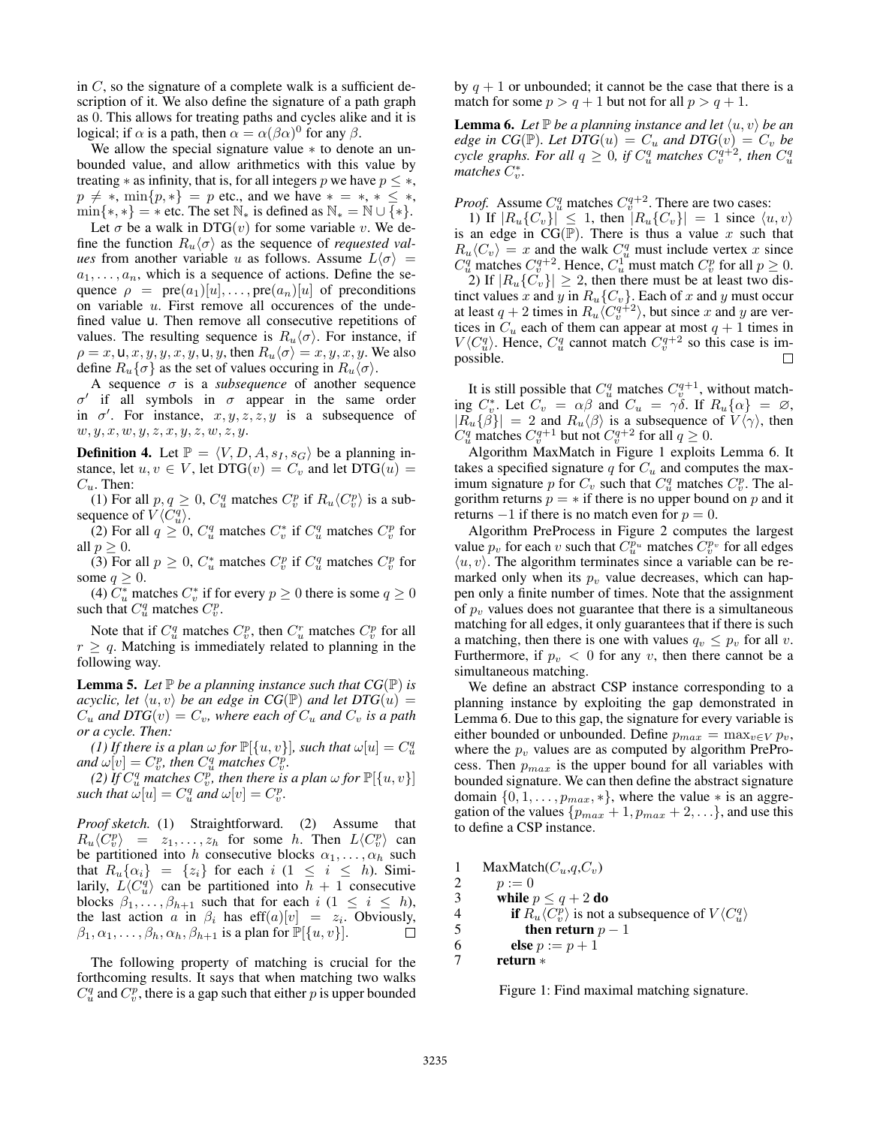in  $C$ , so the signature of a complete walk is a sufficient description of it. We also define the signature of a path graph as 0. This allows for treating paths and cycles alike and it is logical; if  $\alpha$  is a path, then  $\alpha = \alpha(\beta\alpha)^0$  for any  $\beta$ .

We allow the special signature value ∗ to denote an unbounded value, and allow arithmetics with this value by treating  $*$  as infinity, that is, for all integers p we have  $p \leq *,$  $p \neq *, \min\{p, *\} = p$  etc., and we have  $* = *, * \leq *,$  $\min\{*,*\} = *$  etc. The set  $\mathbb{N}_*$  is defined as  $\mathbb{N}_* = \mathbb{N} \cup \{*\}.$ 

Let  $\sigma$  be a walk in DTG(v) for some variable v. We define the function  $R_u \langle \sigma \rangle$  as the sequence of *requested values* from another variable u as follows. Assume  $L\langle \sigma \rangle$  =  $a_1, \ldots, a_n$ , which is a sequence of actions. Define the sequence  $\rho = \text{pre}(a_1)[u], \ldots, \text{pre}(a_n)[u]$  of preconditions on variable  $u$ . First remove all occurences of the undefined value u. Then remove all consecutive repetitions of values. The resulting sequence is  $R_u/\sigma$ . For instance, if  $\rho = x, \mathsf{u}, x, y, y, x, y, \mathsf{u}, y$ , then  $R_u \langle \sigma \rangle = x, y, x, y$ . We also define  $R_u\{\sigma\}$  as the set of values occuring in  $R_u\{\sigma\}$ .

A sequence  $\sigma$  is a *subsequence* of another sequence  $\sigma'$  if all symbols in  $\sigma$  appear in the same order in  $\sigma'$ . For instance,  $x, y, z, z, y$  is a subsequence of  $w, y, x, w, y, z, x, y, z, w, z, y.$ 

**Definition 4.** Let  $\mathbb{P} = \langle V, D, A, s_I, s_G \rangle$  be a planning instance, let  $u, v \in V$ , let DTG $(v) = C_v$  and let DTG $(u)$  =  $C_u$ . Then:

(1) For all  $p, q \geq 0$ ,  $C_u^q$  matches  $C_v^p$  if  $R_u \langle C_v^p \rangle$  is a subsequence of  $V\langle C_u^q \rangle$ .

(2) For all  $q \geq 0$ ,  $C_u^q$  matches  $C_v^*$  if  $C_u^q$  matches  $C_v^p$  for all  $p \geq 0$ .

(3) For all  $p \geq 0$ ,  $C_u^*$  matches  $C_v^p$  if  $C_u^q$  matches  $C_v^p$  for some  $q \geq 0$ .

(4)  $C_u^*$  matches  $C_v^*$  if for every  $p \ge 0$  there is some  $q \ge 0$ such that  $C_u^q$  matches  $C_v^p$ .

Note that if  $C_u^q$  matches  $C_v^p$ , then  $C_u^r$  matches  $C_v^p$  for all  $r \geq q$ . Matching is immediately related to planning in the following way.

**Lemma 5.** Let  $\mathbb P$  be a planning instance such that  $CG(\mathbb P)$  is *acyclic, let*  $\langle u, v \rangle$  *be an edge in CG*(P) *and let*  $DTG(u)$  =  $C_u$  and  $DTG(v) = C_v$ , where each of  $C_u$  and  $C_v$  is a path *or a cycle. Then:*

*(1) If there is a plan*  $\omega$  *for*  $\mathbb{P}[\{u, v\}]$ *, such that*  $\omega[u] = C_u^q$ and  $\omega[v] = C_v^p$ , then  $C_u^q$  matches  $C_v^p$ .

*(2) If*  $C^q_u$  *matches*  $C^p_v$ *, then there is a plan*  $\omega$  *for*  $\mathbb{P}[\{u,v\}]$ *such that*  $\omega[u] = C_u^q$  *and*  $\omega[v] = C_v^p$ .

*Proof sketch.* (1) Straightforward. (2) Assume that  $R_u \langle C_v^p \rangle = z_1, \dots, z_h$  for some h. Then  $L \langle C_v^p \rangle$  can be partitioned into h consecutive blocks  $\alpha_1, \ldots, \alpha_h$  such that  $R_u\{\alpha_i\} = \{z_i\}$  for each  $i \ (1 \leq i \leq h)$ . Similarily,  $L\langle C_u^q \rangle$  can be partitioned into  $h + 1$  consecutive blocks  $\beta_1, \ldots, \beta_{h+1}$  such that for each  $i$  ( $1 \leq i \leq h$ ), the last action a in  $\beta_i$  has eff $(a)[v] = z_i$ . Obviously,  $\beta_1, \alpha_1, \ldots, \beta_h, \alpha_h, \beta_{h+1}$  is a plan for  $\mathbb{P}[\{u, v\}].$ П

The following property of matching is crucial for the forthcoming results. It says that when matching two walks  $C_u^q$  and  $C_v^p$ , there is a gap such that either p is upper bounded

by  $q + 1$  or unbounded; it cannot be the case that there is a match for some  $p > q + 1$  but not for all  $p > q + 1$ .

**Lemma 6.** Let  $\mathbb P$  be a planning instance and let  $\langle u, v \rangle$  be an *edge in CG*( $\mathbb{P}$ )*. Let DTG*( $u$ ) =  $C_u$  *and DTG*( $v$ ) =  $C_v$  *be cycle graphs. For all*  $q \geq 0$ , *if*  $C_u^q$  *matches*  $C_v^{q+2}$ , *then*  $C_u^q$  $\sum_{v}$  *matches*  $C_v^*$ .

*Proof.* Assume  $C_u^q$  matches  $C_v^{q+2}$ . There are two cases:

1) If  $|R_u(C_v)| \leq 1$ , then  $|R_u(C_v)| = 1$  since  $\langle u, v \rangle$ is an edge in  $CG(\mathbb{P})$ . There is thus a value x such that  $R_u \langle C_v \rangle = x$  and the walk  $C_u^q$  must include vertex x since  $C_u^q$  matches  $C_v^{q+2}$ . Hence,  $C_u^1$  must match  $C_v^p$  for all  $p \geq 0$ . 2) If  $|R_u(C_v)| \geq 2$ , then there must be at least two distinct values x and y in  $R_u\{C_v\}$ . Each of x and y must occur at least  $q + 2$  times in  $R_u \langle C_v^{q+2} \rangle$ , but since x and y are vertices in  $C_u$  each of them can appear at most  $q + 1$  times in  $V\langle C_u^q \rangle$ . Hence,  $C_u^q$  cannot match  $C_v^{q+2}$  so this case is impossible. П

It is still possible that  $C_u^q$  matches  $C_v^{q+1}$ , without matching  $C_v^*$ . Let  $C_v = \alpha \beta$  and  $C_u = \gamma \delta$ . If  $R_u(\alpha) = \emptyset$ ,  $|R_u{\{\beta\}}| = 2$  and  $R_u{\{\beta\}}$  is a subsequence of  $V{\{\gamma\}}$ , then  $C_u^q$  matches  $C_v^{q+1}$  but not  $C_v^{q+2}$  for all  $q \ge 0$ .

Algorithm MaxMatch in Figure 1 exploits Lemma 6. It takes a specified signature q for  $C_u$  and computes the maximum signature p for  $C_v$  such that  $C_u^q$  matches  $C_v^p$ . The algorithm returns  $p = *$  if there is no upper bound on p and it returns  $-1$  if there is no match even for  $p = 0$ .

Algorithm PreProcess in Figure 2 computes the largest value  $p_v$  for each v such that  $C_v^{p_u}$  matches  $C_v^{p_v}$  for all edges  $\langle u, v \rangle$ . The algorithm terminates since a variable can be remarked only when its  $p_v$  value decreases, which can happen only a finite number of times. Note that the assignment of  $p_v$  values does not guarantee that there is a simultaneous matching for all edges, it only guarantees that if there is such a matching, then there is one with values  $q_v \leq p_v$  for all v. Furthermore, if  $p_v < 0$  for any v, then there cannot be a simultaneous matching.

We define an abstract CSP instance corresponding to a planning instance by exploiting the gap demonstrated in Lemma 6. Due to this gap, the signature for every variable is either bounded or unbounded. Define  $p_{max} = \max_{v \in V} p_v$ , where the  $p_v$  values are as computed by algorithm PreProcess. Then  $p_{max}$  is the upper bound for all variables with bounded signature. We can then define the abstract signature domain  $\{0, 1, \ldots, p_{max}, *\}$ , where the value  $*$  is an aggregation of the values  $\{p_{max} + 1, p_{max} + 2, ...\}$ , and use this to define a CSP instance.

1 MaxMatch $(C_u, q, C_v)$ <br>2  $p := 0$  $p := 0$ 3 while  $p \leq q + 2$  do<br>4 if  $R_u \langle C_v^p \rangle$  is not 4 if  $\overline{R}_u \langle C_v^{\overline{p}} \rangle$  is not a subsequence of  $V \langle C_u^q \rangle$ 5 then return  $p - 1$ 6 **else**  $p := p + 1$ 7 return ∗

Figure 1: Find maximal matching signature.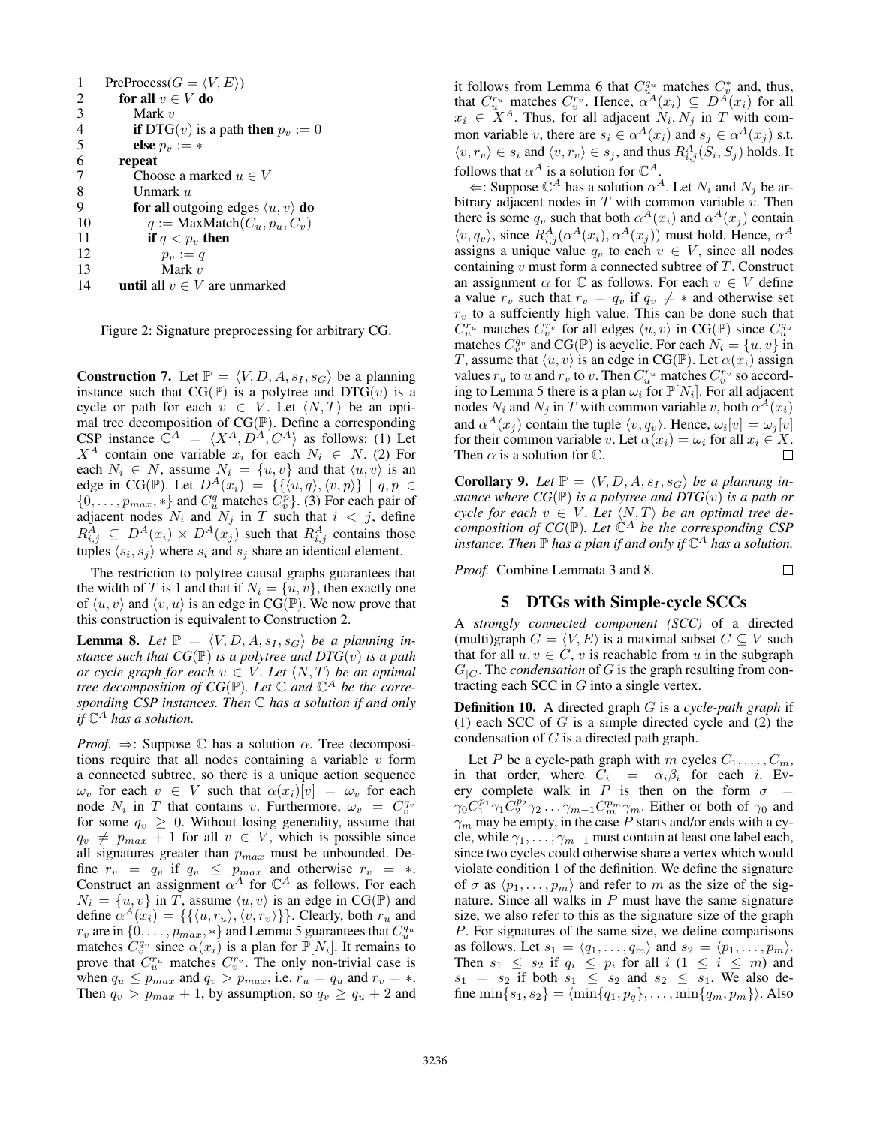| 1              | $PreProcess(G = \langle V, E \rangle)$                         |
|----------------|----------------------------------------------------------------|
| 2              | for all $v \in V$ do                                           |
| 3              | Mark $v$                                                       |
| $\overline{4}$ | <b>if</b> DTG( <i>v</i> ) is a path <b>then</b> $p_v := 0$     |
| 5              | else $p_n := *$                                                |
| 6              | repeat                                                         |
| 7              | Choose a marked $u \in V$                                      |
| 8              | Unmark u                                                       |
| 9              | <b>for all</b> outgoing edges $\langle u, v \rangle$ <b>do</b> |
| 10             | $q := \text{MaxMatch}(C_u, p_u, C_v)$                          |
| 11             | if $q < p_{v}$ , then                                          |
| 12             | $p_v := q$                                                     |
| 13             | Mark $v$                                                       |
| 14             | <b>until</b> all $v \in V$ are unmarked                        |

Figure 2: Signature preprocessing for arbitrary CG.

**Construction 7.** Let  $\mathbb{P} = \langle V, D, A, s_I, s_G \rangle$  be a planning instance such that  $CG(\mathbb{P})$  is a polytree and  $DTG(v)$  is a cycle or path for each  $v \in V$ . Let  $\langle N, T \rangle$  be an optimal tree decomposition of  $CG(\mathbb{P})$ . Define a corresponding CSP instance  $\mathbb{C}^{A} = \langle X^{A}, D^{A}, C^{A} \rangle$  as follows: (1) Let  $X^A$  contain one variable  $x_i$  for each  $N_i \in N$ . (2) For each  $N_i \in N$ , assume  $N_i = \{u, v\}$  and that  $\langle u, v \rangle$  is an edge in CG(P). Let  $D^A(x_i) = \{ \{ \langle u, q \rangle, \langle v, p \rangle \} \mid q, p \in$  $\{0, \ldots, p_{max}, *\}$  and  $C_u^q$  matches  $\widetilde{C_v^p}$ . (3) For each pair of adjacent nodes  $N_i$  and  $N_j$  in T such that  $i < j$ , define  $R_{i,j}^A \subseteq D^A(x_i) \times D^A(x_j)$  such that  $R_{i,j}^A$  contains those tuples  $\langle s_i, s_j \rangle$  where  $s_i$  and  $s_j$  share an identical element.

The restriction to polytree causal graphs guarantees that the width of T is 1 and that if  $N_i = \{u, v\}$ , then exactly one of  $\langle u, v \rangle$  and  $\langle v, u \rangle$  is an edge in CG(P). We now prove that this construction is equivalent to Construction 2.

**Lemma 8.** Let  $\mathbb{P} = \langle V, D, A, s_I, s_G \rangle$  be a planning in*stance such that*  $CG(\mathbb{P})$  *is a polytree and DTG* $(v)$  *is a path or cycle graph for each*  $v \in V$ *. Let*  $\langle N, T \rangle$  *be an optimal tree decomposition of CG*(P)*. Let* C *and* C <sup>A</sup> *be the corresponding CSP instances. Then* C *has a solution if and only if* C <sup>A</sup> *has a solution.*

*Proof.*  $\Rightarrow$ : Suppose C has a solution  $\alpha$ . Tree decompositions require that all nodes containing a variable  $v$  form a connected subtree, so there is a unique action sequence  $\omega_v$  for each  $v \in V$  such that  $\alpha(x_i)[v] = \omega_v$  for each node  $N_i$  in T that contains v. Furthermore,  $\omega_v = C_v^{q_v}$ for some  $q_v \geq 0$ . Without losing generality, assume that  $q_v \neq p_{max} + 1$  for all  $v \in V$ , which is possible since all signatures greater than  $p_{max}$  must be unbounded. Define  $r_v = q_v$  if  $q_v \leq p_{max}$  and otherwise  $r_v = *$ . Construct an assignment  $\alpha^A$  for  $\mathbb{C}^A$  as follows. For each  $N_i = \{u, v\}$  in T, assume  $\langle u, v \rangle$  is an edge in CG(P) and define  $\alpha^{A}(x_i) = \{\{\langle u, r_u\rangle, \langle v, r_v\rangle\}\}\.$  Clearly, both  $r_u$  and  $r_v$  are in  $\{0, \ldots, p_{max}, *\}$  and Lemma 5 guarantees that  $C_u^{q_u}$ matches  $C_v^{q_v}$  since  $\alpha(x_i)$  is a plan for  $\mathbb{P}[N_i]$ . It remains to prove that  $C_u^{r_u}$  matches  $C_v^{r_v}$ . The only non-trivial case is when  $q_u \leq p_{max}$  and  $q_v > p_{max}$ , i.e.  $r_u = q_u$  and  $r_v = *$ . Then  $q_v > p_{max} + 1$ , by assumption, so  $q_v \ge q_u + 2$  and it follows from Lemma 6 that  $C_{u}^{q_u}$  matches  $C_v^*$  and, thus, that  $C_u^{r_u}$  matches  $C_v^{r_v}$ . Hence,  $\alpha^A(x_i) \subseteq D^A(x_i)$  for all  $x_i \in X^A$ . Thus, for all adjacent  $N_i, N_j$  in T with common variable v, there are  $s_i \in \alpha^A(x_i)$  and  $s_j \in \alpha^A(x_j)$  s.t.  $\langle v, r_v \rangle \in s_i$  and  $\langle v, r_v \rangle \in s_j$ , and thus  $R_{i,j}^A(S_i, S_j)$  holds. It follows that  $\alpha^A$  is a solution for  $\mathbb{C}^A$ .

 $\Leftarrow$ : Suppose  $\mathbb{C}^A$  has a solution  $\alpha^A$ . Let  $N_i$  and  $N_j$  be arbitrary adjacent nodes in  $T$  with common variable  $v$ . Then there is some  $q_v$  such that both  $\alpha^A(x_i)$  and  $\alpha^A(x_j)$  contain  $\langle v, q_v \rangle$ , since  $R_{i,j}^A(\alpha^A(x_i), \alpha^A(x_j))$  must hold. Hence,  $\alpha^A$ assigns a unique value  $q_v$  to each  $v \in V$ , since all nodes containing  $v$  must form a connected subtree of  $T$ . Construct an assignment  $\alpha$  for  $\mathbb C$  as follows. For each  $v \in V$  define a value  $r_v$  such that  $r_v = q_v$  if  $q_v \neq *$  and otherwise set  $r_v$  to a suffciently high value. This can be done such that  $\tilde{C}_{u}^{r_u}$  matches  $C_{v}^{r_v}$  for all edges  $\langle u, v \rangle$  in CG(P) since  $C_{u}^{q_u}$  matches  $C_{v}^{q_v}$  and CG(P) is acyclic. For each  $N_i = \{u, v\}$  in T, assume that  $\langle u, v \rangle$  is an edge in CG(P). Let  $\alpha(x_i)$  assign values  $r_u$  to u and  $r_v$  to v. Then  $C_u^{r_u}$  matches  $C_v^{r_v}$  so according to Lemma 5 there is a plan  $\omega_i$  for  $\mathbb{P}[N_i]$ . For all adjacent nodes  $N_i$  and  $N_j$  in T with common variable v, both  $\alpha^A(x_i)$ and  $\alpha^{A}(x_j)$  contain the tuple  $\langle v, q_v \rangle$ . Hence,  $\omega_i[v] = \omega_j[v]$ for their common variable v. Let  $\alpha(x_i) = \omega_i$  for all  $x_i \in X$ . Then  $\alpha$  is a solution for  $\mathbb{C}$ .  $\Box$ 

**Corollary 9.** Let  $\mathbb{P} = \langle V, D, A, s_I, s_G \rangle$  be a planning in*stance where*  $CG(\mathbb{P})$  *is a polytree and*  $DTG(v)$  *is a path or cycle for each*  $v \in V$ *. Let*  $\langle N, T \rangle$  *be an optimal tree decomposition of CG*( $\mathbb{P}$ ). Let  $\mathbb{C}^{A}$  *be the corresponding CSP* instance. Then  $\mathbb P$  has a plan if and only if  $\mathbb C^A$  has a solution.

*Proof.* Combine Lemmata 3 and 8.

## 5 DTGs with Simple-cycle SCCs

 $\Box$ 

A *strongly connected component (SCC)* of a directed (multi)graph  $G = \langle V, E \rangle$  is a maximal subset  $C \subseteq V$  such that for all  $u, v \in C$ , v is reachable from u in the subgraph  $G_{|C}$ . The *condensation* of G is the graph resulting from contracting each SCC in  $G$  into a single vertex.

Definition 10. A directed graph G is a *cycle-path graph* if (1) each SCC of  $G$  is a simple directed cycle and (2) the condensation of  $G$  is a directed path graph.

Let P be a cycle-path graph with m cycles  $C_1, \ldots, C_m$ , in that order, where  $C_i = \alpha_i \beta_i$  for each i. Every complete walk in P is then on the form  $\sigma =$  $\gamma_0 C_1^{p_1} \gamma_1 C_2^{p_2} \gamma_2 \dots \gamma_{m-1} C_m^{p_m} \gamma_m$ . Either or both of  $\gamma_0$  and  $\gamma_m$  may be empty, in the case P starts and/or ends with a cycle, while  $\gamma_1, \ldots, \gamma_{m-1}$  must contain at least one label each, since two cycles could otherwise share a vertex which would violate condition 1 of the definition. We define the signature of  $\sigma$  as  $\langle p_1, \ldots, p_m \rangle$  and refer to m as the size of the signature. Since all walks in  $P$  must have the same signature size, we also refer to this as the signature size of the graph P. For signatures of the same size, we define comparisons as follows. Let  $s_1 = \langle q_1, \ldots, q_m \rangle$  and  $s_2 = \langle p_1, \ldots, p_m \rangle$ . Then  $s_1 \leq s_2$  if  $q_i \leq p_i$  for all  $i (1 \leq i \leq m)$  and  $s_1 = s_2$  if both  $s_1 \leq s_2$  and  $s_2 \leq s_1$ . We also define min $\{s_1, s_2\} = \langle \min\{q_1, p_q\}, \ldots, \min\{q_m, p_m\}\rangle$ . Also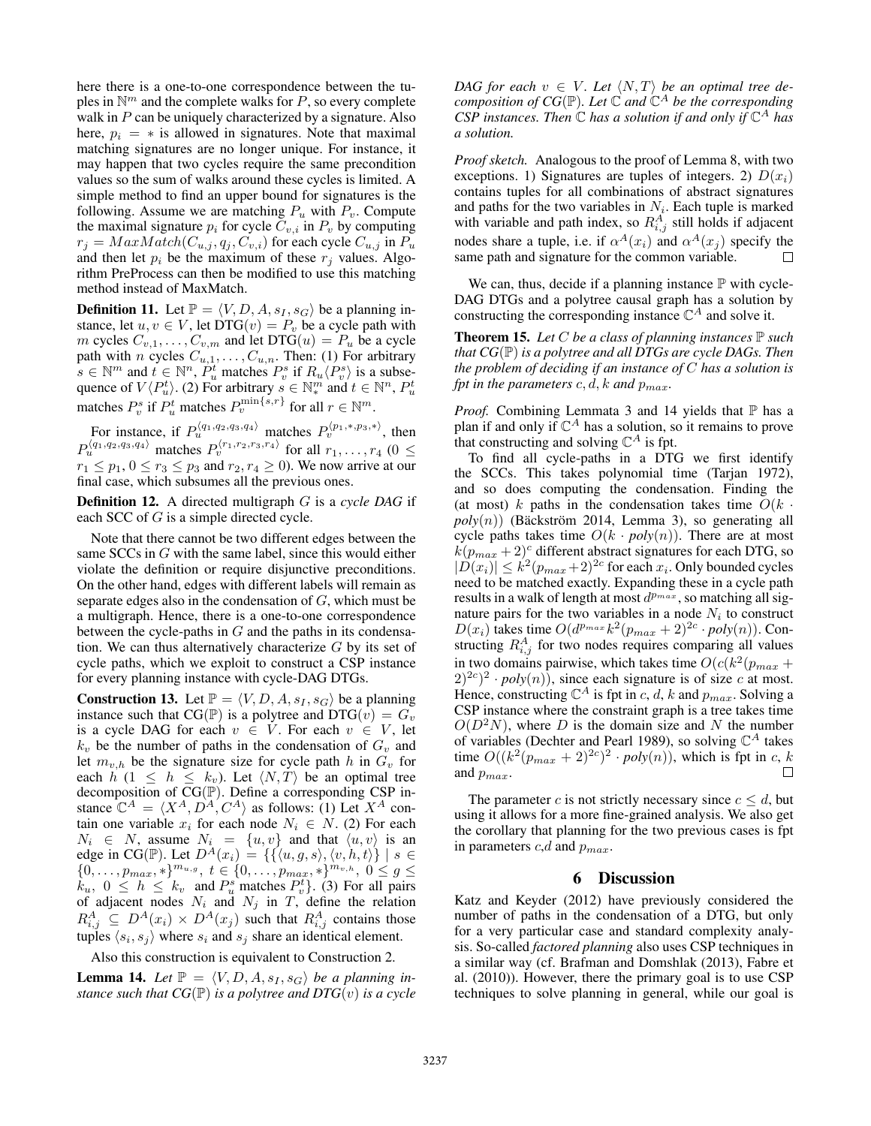here there is a one-to-one correspondence between the tuples in  $\mathbb{N}^m$  and the complete walks for P, so every complete walk in  $P$  can be uniquely characterized by a signature. Also here,  $p_i = *$  is allowed in signatures. Note that maximal matching signatures are no longer unique. For instance, it may happen that two cycles require the same precondition values so the sum of walks around these cycles is limited. A simple method to find an upper bound for signatures is the following. Assume we are matching  $P_u$  with  $P_v$ . Compute the maximal signature  $p_i$  for cycle  $C_{v,i}$  in  $P_v$  by computing  $r_i = MaxMatch(C_{u,j}, q_i, C_{v,i})$  for each cycle  $C_{u,j}$  in  $P_u$ and then let  $p_i$  be the maximum of these  $r_j$  values. Algorithm PreProcess can then be modified to use this matching method instead of MaxMatch.

**Definition 11.** Let  $\mathbb{P} = \langle V, D, A, s_I, s_G \rangle$  be a planning instance, let  $u, v \in V$ , let DTG $(v) = P_v$  be a cycle path with m cycles  $C_{v,1}, \ldots, C_{v,m}$  and let DTG $(u) = P_u$  be a cycle path with *n* cycles  $C_{u,1}, \ldots, C_{u,n}$ . Then: (1) For arbitrary  $s \in \mathbb{N}^m$  and  $t \in \mathbb{N}^n$ ,  $P_u^t$  matches  $P_v^s$  if  $R_u \langle P_v^s \rangle$  is a subsequence of  $V\langle P_u^t\rangle$ . (2) For arbitrary  $s \in \mathbb{N}_*^m$  and  $t \in \mathbb{N}^n$ ,  $P_u^t$ matches  $P_v^s$  if  $P_u^t$  matches  $P_v^{\min\{s,r\}}$  for all  $r \in \mathbb{N}^m$ .

For instance, if  $P_u^{\langle q_1,q_2,q_3,q_4\rangle}$  matches  $P_v^{\langle p_1,\ast,p_3,\ast\rangle}$ , then  $P_u^{\langle q_1,q_2,q_3,q_4\rangle}$  matches  $P_v^{\langle r_1,r_2,r_3,r_4\rangle}$  for all  $r_1,\ldots,r_4$  ( $0\leq$  $r_1 \leq p_1$ ,  $0 \leq r_3 \leq p_3$  and  $r_2$ ,  $r_4 \geq 0$ ). We now arrive at our final case, which subsumes all the previous ones.

Definition 12. A directed multigraph G is a *cycle DAG* if each SCC of G is a simple directed cycle.

Note that there cannot be two different edges between the same SCCs in G with the same label, since this would either violate the definition or require disjunctive preconditions. On the other hand, edges with different labels will remain as separate edges also in the condensation of G, which must be a multigraph. Hence, there is a one-to-one correspondence between the cycle-paths in  $G$  and the paths in its condensation. We can thus alternatively characterize  $G$  by its set of cycle paths, which we exploit to construct a CSP instance for every planning instance with cycle-DAG DTGs.

**Construction 13.** Let  $\mathbb{P} = \langle V, D, A, s_I, s_G \rangle$  be a planning instance such that CG( $\mathbb{P}$ ) is a polytree and DTG( $v$ ) =  $G_v$ is a cycle DAG for each  $v \in V$ . For each  $v \in V$ , let  $k_v$  be the number of paths in the condensation of  $G_v$  and let  $m_{v,h}$  be the signature size for cycle path h in  $G_v$  for each h (1  $\leq h \leq k_v$ ). Let  $\langle N, T \rangle$  be an optimal tree decomposition of  $CG(\mathbb{P})$ . Define a corresponding CSP instance  $\mathbb{C}^{A} = \langle X^{A}, D^{A}, C^{A} \rangle$  as follows: (1) Let  $X^{A}$  contain one variable  $x_i$  for each node  $N_i \in N$ . (2) For each  $N_i \in N$ , assume  $N_i = \{u, v\}$  and that  $\langle u, v \rangle$  is an edge in CG(P). Let  $D^{\tilde{A}}(x_i) = \{ \{ \langle u, g, s \rangle, \langle v, h, t \rangle \} \mid s \in$  ${0, \ldots, p_{max}, *}^{m_{u,g}}, t \in {0, \ldots, p_{max}, *}^{m_{v,h}}, 0 \le g \le$  $k_u$ ,  $0 \leq h \leq k_v$  and  $P_u^s$  matches  $P_v^t$ . (3) For all pairs of adjacent nodes  $N_i$  and  $N_j$  in T, define the relation  $R_{i,j}^A \subseteq D^A(x_i) \times D^A(x_j)$  such that  $R_{i,j}^A$  contains those tuples  $\langle s_i, s_j \rangle$  where  $s_i$  and  $s_j$  share an identical element.

Also this construction is equivalent to Construction 2.

**Lemma 14.** Let  $\mathbb{P} = \langle V, D, A, s_I, s_G \rangle$  be a planning in*stance such that*  $CG(\mathbb{P})$  *is a polytree and*  $DTG(v)$  *is a cycle*  *DAG for each*  $v \in V$ *. Let*  $\langle N, T \rangle$  *be an optimal tree decomposition of CG*(P)*. Let* C *and* C <sup>A</sup> *be the corresponding*  $CSP$  *instances. Then*  $\mathbb C$  *has a solution if and only if*  $\mathbb C^A$  *has a solution.*

*Proof sketch.* Analogous to the proof of Lemma 8, with two exceptions. 1) Signatures are tuples of integers. 2)  $D(x_i)$ contains tuples for all combinations of abstract signatures and paths for the two variables in  $N_i$ . Each tuple is marked with variable and path index, so  $R_{i,j}^A$  still holds if adjacent nodes share a tuple, i.e. if  $\alpha^{A}(x_i)$  and  $\alpha^{A}(x_j)$  specify the same path and signature for the common variable.  $\Box$ 

We can, thus, decide if a planning instance  $\mathbb P$  with cycle-DAG DTGs and a polytree causal graph has a solution by constructing the corresponding instance  $\mathbb{C}^A$  and solve it.

**Theorem 15.** Let  $C$  be a class of planning instances  $\mathbb P$  such *that CG*(P) *is a polytree and all DTGs are cycle DAGs. Then the problem of deciding if an instance of* C *has a solution is fpt in the parameters*  $c, d, k$  *and*  $p_{max}$ *.* 

*Proof.* Combining Lemmata 3 and 14 yields that  $\mathbb P$  has a plan if and only if  $\mathbb{C}^A$  has a solution, so it remains to prove that constructing and solving  $\mathbb{C}^{A}$  is fpt.

To find all cycle-paths in a DTG we first identify the SCCs. This takes polynomial time (Tarjan 1972), and so does computing the condensation. Finding the (at most) k paths in the condensation takes time  $O(k \cdot$  $poly(n)$  (Bäckström 2014, Lemma 3), so generating all cycle paths takes time  $O(k \cdot poly(n))$ . There are at most  $k(p_{max} + 2)^c$  different abstract signatures for each DTG, so  $|\tilde{D}(x_i)| \leq k^2 (p_{max}+2)^{2c}$  for each  $x_i$ . Only bounded cycles need to be matched exactly. Expanding these in a cycle path results in a walk of length at most  $d^{p_{max}}$ , so matching all signature pairs for the two variables in a node  $N_i$  to construct  $D(x_i)$  takes time  $O(d^{p_{max}}k^2(p_{max}+2)^{2c} \cdot poly(n))$ . Constructing  $R_{i,j}^A$  for two nodes requires comparing all values in two domains pairwise, which takes time  $O(c(k^2(p_{max} +$  $(2)^{2c}$  *poly*(*n*)), since each signature is of size *c* at most. Hence, constructing  $\mathbb{C}^A$  is fpt in c, d, k and  $p_{max}$ . Solving a CSP instance where the constraint graph is a tree takes time  $O(D^2N)$ , where D is the domain size and N the number of variables (Dechter and Pearl 1989), so solving  $\mathbb{C}^A$  takes time  $O((k^2(p_{max} + 2)^{2c})^2 \cdot poly(n))$ , which is fpt in c, k and  $p_{max}$ .  $\Box$ 

The parameter c is not strictly necessary since  $c \le d$ , but using it allows for a more fine-grained analysis. We also get the corollary that planning for the two previous cases is fpt in parameters  $c,d$  and  $p_{max}$ .

#### 6 Discussion

Katz and Keyder (2012) have previously considered the number of paths in the condensation of a DTG, but only for a very particular case and standard complexity analysis. So-called *factored planning* also uses CSP techniques in a similar way (cf. Brafman and Domshlak (2013), Fabre et al. (2010)). However, there the primary goal is to use CSP techniques to solve planning in general, while our goal is